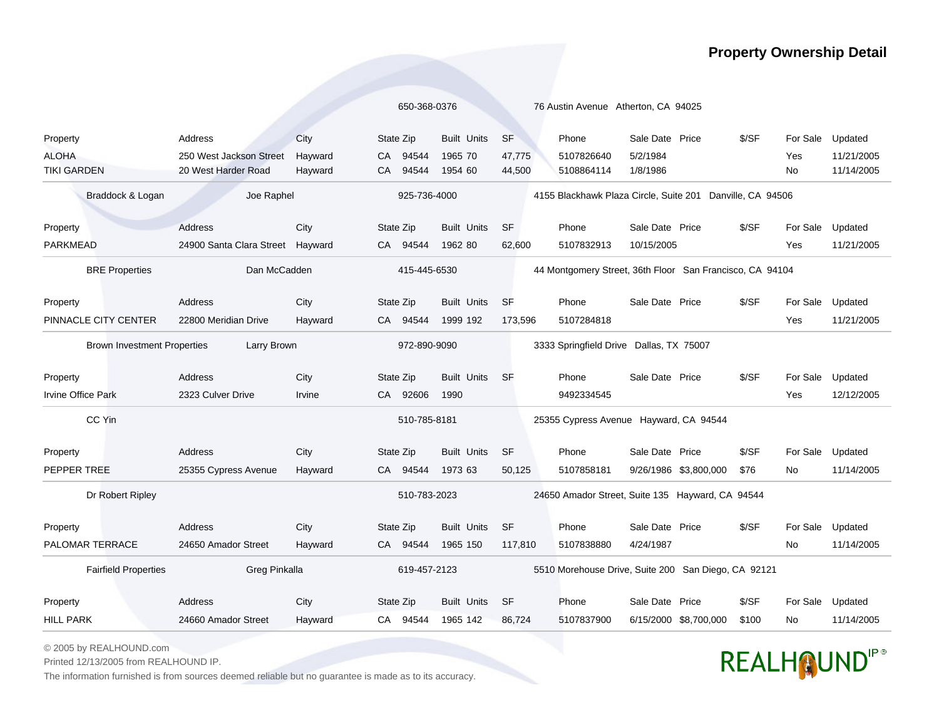## **Property Ownership Detail**

|                                                   |                                  |         | 650-368-0376  |                                        | 76 Austin Avenue Atherton, CA 94025                      |                                                           |                 |                       |       |                  |            |
|---------------------------------------------------|----------------------------------|---------|---------------|----------------------------------------|----------------------------------------------------------|-----------------------------------------------------------|-----------------|-----------------------|-------|------------------|------------|
| Property                                          | Address                          | City    | State Zip     | <b>Built Units</b>                     | <b>SF</b>                                                | Phone                                                     | Sale Date Price |                       | \$/SF | For Sale         | Updated    |
| <b>ALOHA</b>                                      | 250 West Jackson Street          | Hayward | 94544<br>CA.  | 1965 70                                | 47,775                                                   | 5107826640                                                | 5/2/1984        |                       |       | Yes              | 11/21/2005 |
| <b>TIKI GARDEN</b>                                | 20 West Harder Road              | Hayward | 94544<br>CA.  | 1954 60                                | 44,500                                                   | 5108864114                                                | 1/8/1986        |                       |       | No.              | 11/14/2005 |
| Braddock & Logan                                  | Joe Raphel                       |         |               | 925-736-4000                           |                                                          | 4155 Blackhawk Plaza Circle, Suite 201 Danville, CA 94506 |                 |                       |       |                  |            |
| Property                                          | <b>Address</b>                   | City    | State Zip     | <b>Built Units</b>                     | <b>SF</b>                                                | Phone                                                     | Sale Date Price |                       | \$/SF | For Sale         | Updated    |
| <b>PARKMEAD</b>                                   | 24900 Santa Clara Street Hayward |         | CA 94544      | 1962 80                                | 62,600                                                   | 5107832913                                                | 10/15/2005      |                       |       | Yes              | 11/21/2005 |
| <b>BRE Properties</b>                             | Dan McCadden                     |         | 415-445-6530  |                                        | 44 Montgomery Street, 36th Floor San Francisco, CA 94104 |                                                           |                 |                       |       |                  |            |
| Property                                          | Address                          | City    | State Zip     | <b>Built Units</b>                     | <b>SF</b>                                                | Phone                                                     | Sale Date Price |                       | \$/SF | For Sale         | Updated    |
| PINNACLE CITY CENTER                              | 22800 Meridian Drive             | Hayward | 94544<br>CA - | 1999 192                               | 173,596                                                  | 5107284818                                                |                 |                       |       | Yes              | 11/21/2005 |
| <b>Brown Investment Properties</b><br>Larry Brown |                                  |         | 972-890-9090  |                                        | 3333 Springfield Drive Dallas, TX 75007                  |                                                           |                 |                       |       |                  |            |
| Property                                          | Address                          | City    | State Zip     | <b>Built Units</b>                     | SF                                                       | Phone                                                     | Sale Date Price |                       | \$/SF | For Sale         | Updated    |
| <b>Irvine Office Park</b>                         | 2323 Culver Drive                | Irvine  | CA 92606      | 1990                                   |                                                          | 9492334545                                                |                 |                       |       | Yes              | 12/12/2005 |
| CC Yin                                            | 510-785-8181                     |         |               | 25355 Cypress Avenue Hayward, CA 94544 |                                                          |                                                           |                 |                       |       |                  |            |
| Property                                          | Address                          | City    | State Zip     | <b>Built Units</b>                     | <b>SF</b>                                                | Phone                                                     | Sale Date Price |                       | \$/SF | For Sale         | Updated    |
| PEPPER TREE                                       | 25355 Cypress Avenue             | Hayward | 94544<br>CA - | 1973 63                                | 50,125                                                   | 5107858181                                                |                 | 9/26/1986 \$3,800,000 | \$76  | No               | 11/14/2005 |
| Dr Robert Ripley                                  |                                  |         | 510-783-2023  |                                        | 24650 Amador Street, Suite 135 Hayward, CA 94544         |                                                           |                 |                       |       |                  |            |
| Property                                          | Address                          | City    | State Zip     | <b>Built Units</b>                     | <b>SF</b>                                                | Phone                                                     | Sale Date Price |                       | \$/SF | For Sale         | Updated    |
| PALOMAR TERRACE                                   | 24650 Amador Street              | Hayward | CA 94544      | 1965 150                               | 117,810                                                  | 5107838880                                                | 4/24/1987       |                       |       | No.              | 11/14/2005 |
| <b>Fairfield Properties</b><br>Greg Pinkalla      |                                  |         | 619-457-2123  |                                        |                                                          | 5510 Morehouse Drive, Suite 200 San Diego, CA 92121       |                 |                       |       |                  |            |
| Property                                          | Address                          | City    | State Zip     | <b>Built Units</b>                     | <b>SF</b>                                                | Phone                                                     | Sale Date Price |                       | \$/SF | For Sale Updated |            |
| <b>HILL PARK</b>                                  | 24660 Amador Street              | Hayward | CA 94544      | 1965 142                               | 86.724                                                   | 5107837900                                                |                 | 6/15/2000 \$8,700,000 | \$100 | No               | 11/14/2005 |

© 2005 by REALHOUND.com

Printed 12/13/2005 from REALHOUND IP.

The information furnished is from sources deemed reliable but no guarantee is made as to its accuracy.

## REALHOUNDIP®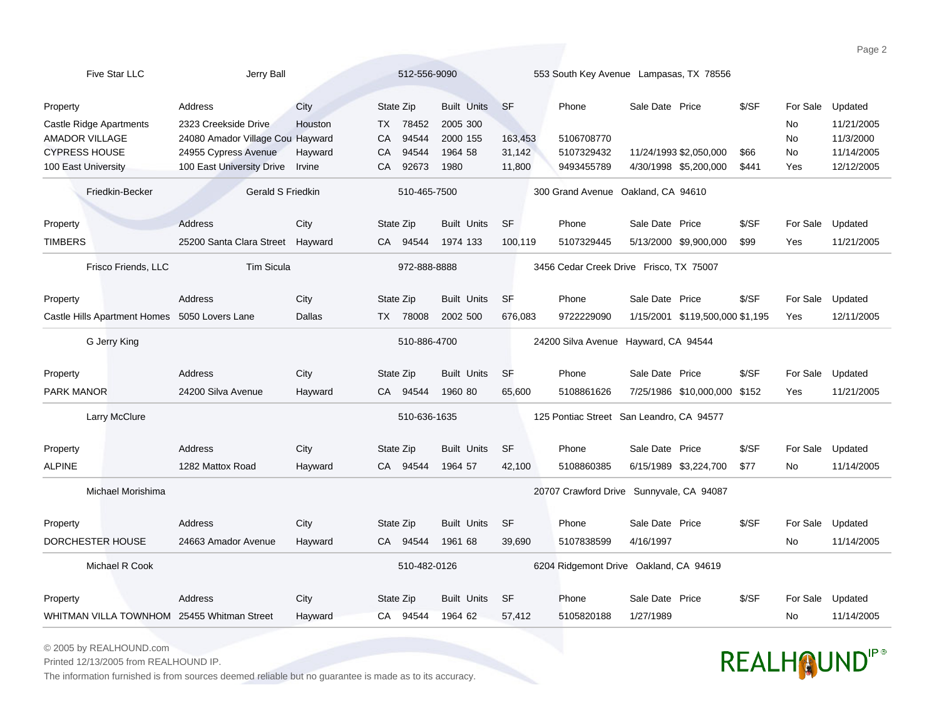| Five Star LLC                                 | Jerry Ball                       |         | 512-556-9090 |       | 553 South Key Avenue Lampasas, TX 78556 |                                          |                                          |                 |                                 |       |          |            |
|-----------------------------------------------|----------------------------------|---------|--------------|-------|-----------------------------------------|------------------------------------------|------------------------------------------|-----------------|---------------------------------|-------|----------|------------|
| Property                                      | Address                          | City    | State Zip    |       | <b>Built Units</b>                      | <b>SF</b>                                | Phone                                    | Sale Date Price |                                 | \$/SF | For Sale | Updated    |
| <b>Castle Ridge Apartments</b>                | 2323 Creekside Drive             | Houston | <b>TX</b>    | 78452 | 2005 300                                |                                          |                                          |                 |                                 |       | No       | 11/21/2005 |
| <b>AMADOR VILLAGE</b>                         | 24080 Amador Village Cou Hayward |         | CA           | 94544 | 2000 155                                | 163,453                                  | 5106708770                               |                 |                                 |       | No       | 11/3/2000  |
| <b>CYPRESS HOUSE</b>                          | 24955 Cypress Avenue             | Hayward | CA           | 94544 | 1964 58                                 | 31,142                                   | 5107329432                               |                 | 11/24/1993 \$2,050,000          | \$66  | No       | 11/14/2005 |
| 100 East University                           | 100 East University Drive        | Irvine  | CA           | 92673 | 1980                                    | 11,800                                   | 9493455789                               |                 | 4/30/1998 \$5,200,000           | \$441 | Yes      | 12/12/2005 |
| Friedkin-Becker                               | <b>Gerald S Friedkin</b>         |         | 510-465-7500 |       | 300 Grand Avenue Oakland, CA 94610      |                                          |                                          |                 |                                 |       |          |            |
| Property                                      | <b>Address</b>                   | City    | State Zip    |       | <b>Built Units</b>                      | <b>SF</b>                                | Phone                                    | Sale Date Price |                                 | \$/SF | For Sale | Updated    |
| <b>TIMBERS</b>                                | 25200 Santa Clara Street Hayward |         | CA 94544     |       | 1974 133                                | 100,119                                  | 5107329445                               |                 | 5/13/2000 \$9,900,000           | \$99  | Yes      | 11/21/2005 |
| Frisco Friends, LLC                           | <b>Tim Sicula</b>                |         | 972-888-8888 |       | 3456 Cedar Creek Drive Frisco, TX 75007 |                                          |                                          |                 |                                 |       |          |            |
| Property                                      | Address                          | City    | State Zip    |       | <b>Built Units</b>                      | <b>SF</b>                                | Phone                                    | Sale Date Price |                                 | \$/SF | For Sale | Updated    |
| Castle Hills Apartment Homes 5050 Lovers Lane |                                  | Dallas  | TX 78008     |       | 2002 500                                | 676,083                                  | 9722229090                               |                 | 1/15/2001 \$119,500,000 \$1,195 |       | Yes      | 12/11/2005 |
| G Jerry King                                  |                                  |         | 510-886-4700 |       | 24200 Silva Avenue Hayward, CA 94544    |                                          |                                          |                 |                                 |       |          |            |
| Property                                      | Address                          | City    | State Zip    |       | <b>Built Units</b>                      | <b>SF</b>                                | Phone                                    | Sale Date Price |                                 | \$/SF | For Sale | Updated    |
| <b>PARK MANOR</b>                             | 24200 Silva Avenue               | Hayward | CA 94544     |       | 1960 80                                 | 65,600                                   | 5108861626                               |                 | 7/25/1986 \$10,000,000 \$152    |       | Yes      | 11/21/2005 |
| Larry McClure                                 |                                  |         | 510-636-1635 |       |                                         | 125 Pontiac Street San Leandro, CA 94577 |                                          |                 |                                 |       |          |            |
| Property                                      | Address                          | City    | State Zip    |       | <b>Built Units</b>                      | <b>SF</b>                                | Phone                                    | Sale Date Price |                                 | \$/SF | For Sale | Updated    |
| <b>ALPINE</b>                                 | 1282 Mattox Road                 | Hayward | CA 94544     |       | 1964 57                                 | 42,100                                   | 5108860385                               |                 | 6/15/1989 \$3,224,700           | \$77  | No       | 11/14/2005 |
| Michael Morishima                             |                                  |         |              |       |                                         |                                          | 20707 Crawford Drive Sunnyvale, CA 94087 |                 |                                 |       |          |            |
| Property                                      | Address                          | City    | State Zip    |       | <b>Built Units</b>                      | <b>SF</b>                                | Phone                                    | Sale Date Price |                                 | \$/SF | For Sale | Updated    |
| DORCHESTER HOUSE                              | 24663 Amador Avenue              | Hayward | CA 94544     |       | 1961 68                                 | 39.690                                   | 5107838599                               | 4/16/1997       |                                 |       | No       | 11/14/2005 |
| Michael R Cook                                | 510-482-0126                     |         |              |       | 6204 Ridgemont Drive Oakland, CA 94619  |                                          |                                          |                 |                                 |       |          |            |
| Property                                      | Address                          | City    | State Zip    |       | <b>Built Units</b>                      | <b>SF</b>                                | Phone                                    | Sale Date Price |                                 | \$/SF | For Sale | Updated    |
| WHITMAN VILLA TOWNHOM 25455 Whitman Street    |                                  | Hayward | CA 94544     |       | 1964 62                                 | 57,412                                   | 5105820188                               | 1/27/1989       |                                 |       | No       | 11/14/2005 |

© 2005 by REALHOUND.com

Printed 12/13/2005 from REALHOUND IP.

The information furnished is from sources deemed reliable but no guarantee is made as to its accuracy.

## REALHOUNDIP®